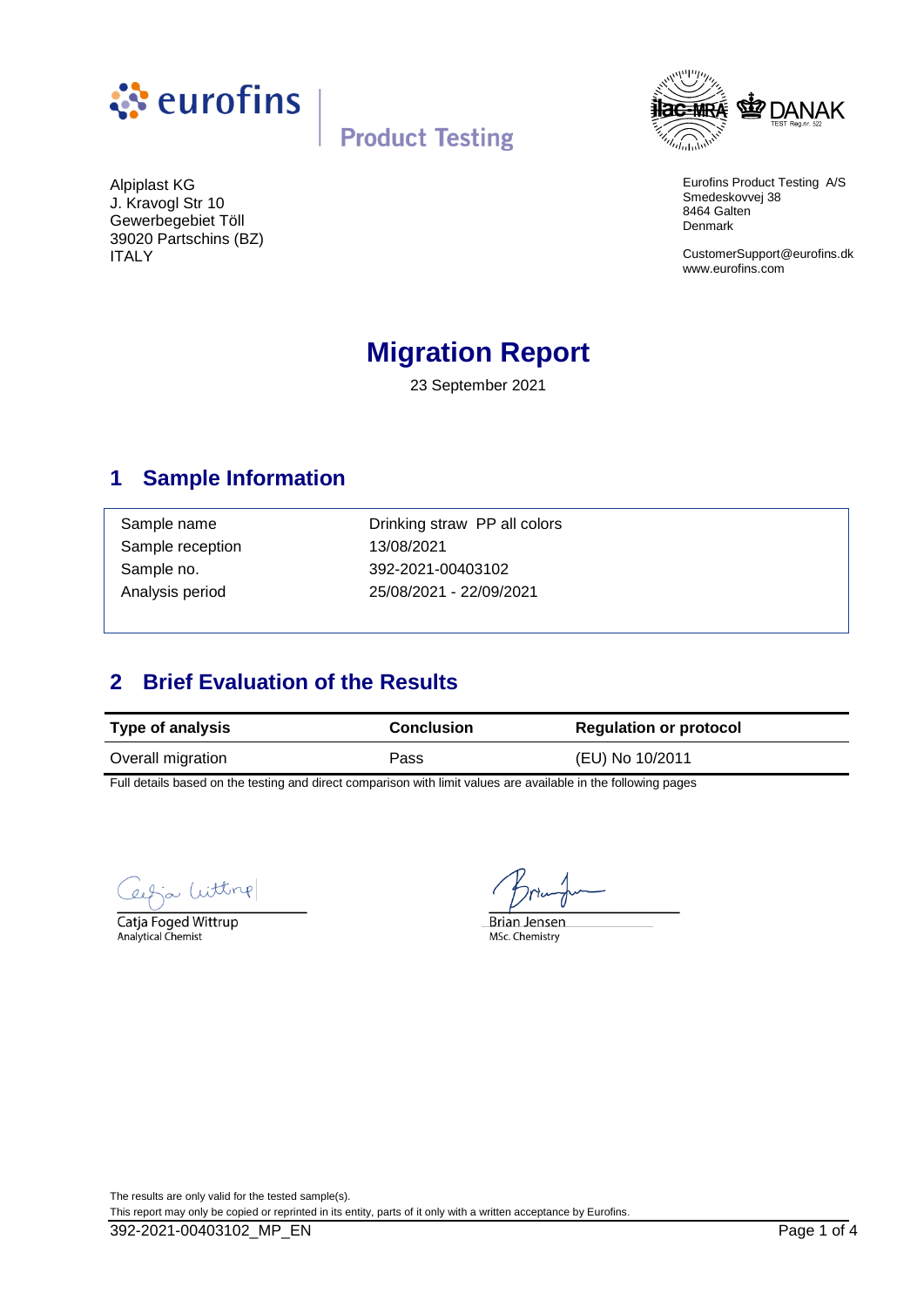



Eurofins Product Testing A/S Smedeskovvej 38 8464 Galten Denmark

CustomerSupport@eurofins.dk www.eurofins.com

Alpiplast KG J. Kravogl Str 10 Gewerbegebiet Töll 39020 Partschins (BZ) ITALY

# **Migration Report**

23 September 2021

### **1 Sample Information**

Sample reception 13/08/2021

Sample name **Drinking straw PP all colors** Sample no. 392-2021-00403102 Analysis period 25/08/2021 - 22/09/2021

## **2 Brief Evaluation of the Results**

| <b>Type of analysis</b> | <b>Conclusion</b> | <b>Regulation or protocol</b> |  |
|-------------------------|-------------------|-------------------------------|--|
| Overall migration       | Pass              | (EU) No 10/2011               |  |

Full details based on the testing and direct comparison with limit values are available in the following pages

Witting

Catja Foged Wittrup Analytical Chemist

**Brian Jensen** MSc. Chemistry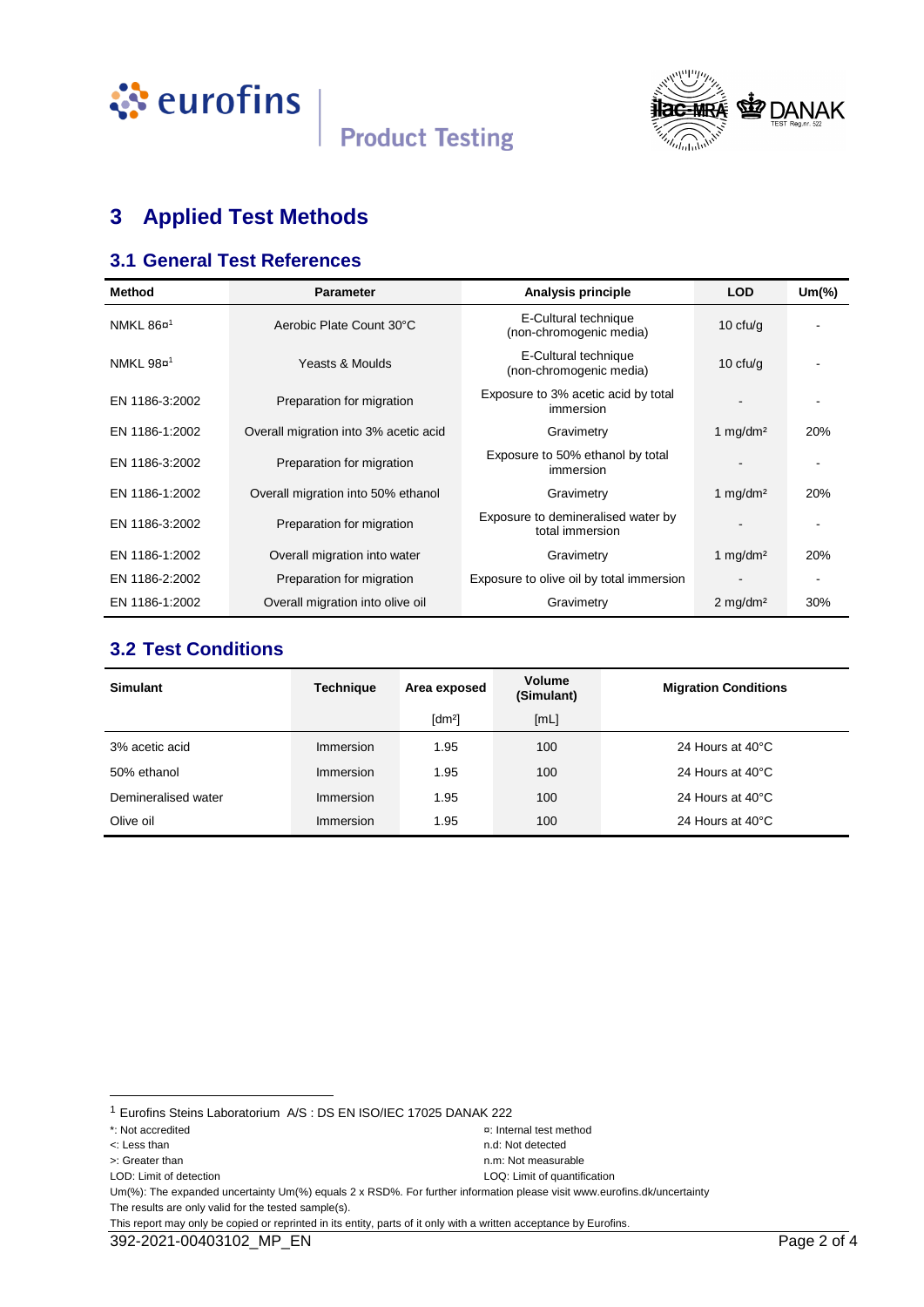



# **3 Applied Test Methods**

#### **3.1 General Test References**

| <b>Method</b>         | <b>Parameter</b>                      | Analysis principle                                    | <b>LOD</b>             | $Um(\%)$ |
|-----------------------|---------------------------------------|-------------------------------------------------------|------------------------|----------|
| NMKL 86¤ <sup>1</sup> | Aerobic Plate Count 30°C              | E-Cultural technique<br>(non-chromogenic media)       | 10 $ctu/g$             |          |
| NMKL 98¤ <sup>1</sup> | Yeasts & Moulds                       | E-Cultural technique<br>(non-chromogenic media)       | 10 $ctu/g$             |          |
| EN 1186-3:2002        | Preparation for migration             | Exposure to 3% acetic acid by total<br>immersion      |                        |          |
| EN 1186-1:2002        | Overall migration into 3% acetic acid | Gravimetry                                            | 1 $mq/dm^2$            | 20%      |
| EN 1186-3:2002        | Preparation for migration             | Exposure to 50% ethanol by total<br>immersion         |                        |          |
| EN 1186-1:2002        | Overall migration into 50% ethanol    | Gravimetry                                            | 1 mg/dm <sup>2</sup>   | 20%      |
| EN 1186-3:2002        | Preparation for migration             | Exposure to demineralised water by<br>total immersion |                        |          |
| EN 1186-1:2002        | Overall migration into water          | Gravimetry                                            | 1 mg/dm <sup>2</sup>   | 20%      |
| EN 1186-2:2002        | Preparation for migration             | Exposure to olive oil by total immersion              |                        |          |
| EN 1186-1:2002        | Overall migration into olive oil      | Gravimetry                                            | $2$ mg/dm <sup>2</sup> | 30%      |

#### **3.2 Test Conditions**

| <b>Simulant</b>     | <b>Technique</b> | Area exposed         | <b>Volume</b><br>(Simulant) | <b>Migration Conditions</b> |
|---------------------|------------------|----------------------|-----------------------------|-----------------------------|
|                     |                  | $\lceil dm^2 \rceil$ | [ML]                        |                             |
| 3% acetic acid      | Immersion        | 1.95                 | 100                         | 24 Hours at 40°C            |
| 50% ethanol         | Immersion        | 1.95                 | 100                         | 24 Hours at 40°C            |
| Demineralised water | Immersion        | 1.95                 | 100                         | 24 Hours at 40°C            |
| Olive oil           | Immersion        | 1.95                 | 100                         | 24 Hours at 40°C            |

l

Um(%): The expanded uncertainty Um(%) equals 2 x RSD%. For further information please visit www.eurofins.dk/uncertainty The results are only valid for the tested sample(s).

```
This report may only be copied or reprinted in its entity, parts of it only with a written acceptance by Eurofins.
```
<sup>1</sup> Eurofins Steins Laboratorium A/S : DS EN ISO/IEC 17025 DANAK 222

<sup>\*:</sup> Not accredited ¤: Internal test method

LOD: Limit of detection LOQ: Limit of quantification

<sup>&</sup>lt;: Less than n.d: Not detected >: Greater than n.m: Not measurable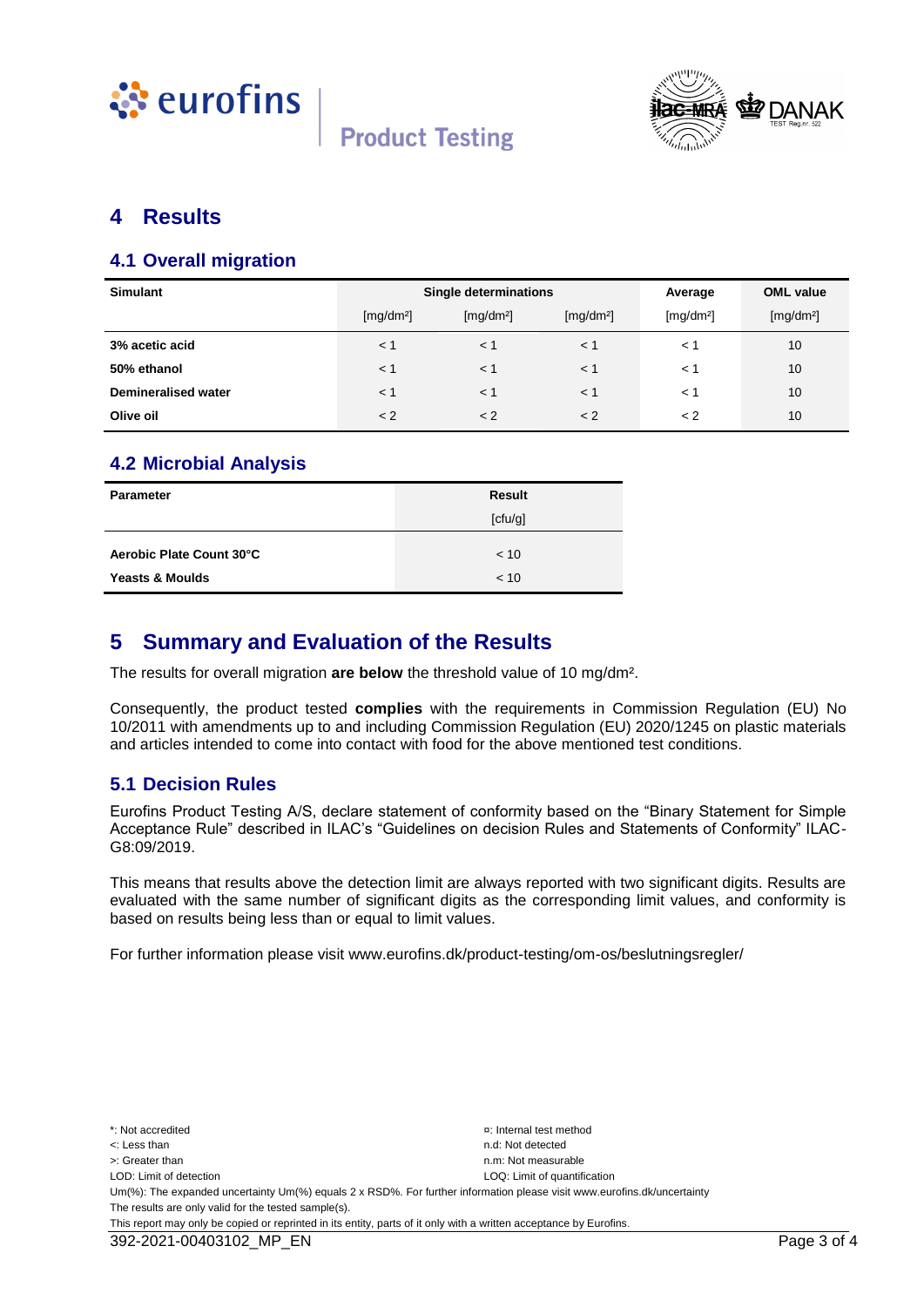



#### **4 Results**

#### **4.1 Overall migration**

| <b>Simulant</b>            | Single determinations |                       |                       | Average               | <b>OML</b> value      |
|----------------------------|-----------------------|-----------------------|-----------------------|-----------------------|-----------------------|
|                            | [mg/dm <sup>2</sup> ] | [mg/dm <sup>2</sup> ] | [mg/dm <sup>2</sup> ] | [mg/dm <sup>2</sup> ] | [mg/dm <sup>2</sup> ] |
| 3% acetic acid             | $\leq 1$              | < 1                   | $<$ 1                 | < 1                   | 10                    |
| 50% ethanol                | < 1                   | < 1                   | $<$ 1                 | < 1                   | 10                    |
| <b>Demineralised water</b> | < 1                   | < 1                   | $<$ 1                 | $\lt$ 1               | 10                    |
| Olive oil                  | < 2                   | < 2                   | < 2                   | < 2                   | 10                    |

#### **4.2 Microbial Analysis**

| Parameter                  | <b>Result</b> |
|----------------------------|---------------|
|                            | [ctu/g]       |
| Aerobic Plate Count 30°C   | < 10          |
| <b>Yeasts &amp; Moulds</b> | < 10          |

#### **5 Summary and Evaluation of the Results**

The results for overall migration **are below** the threshold value of 10 mg/dm².

Consequently, the product tested **complies** with the requirements in Commission Regulation (EU) No 10/2011 with amendments up to and including Commission Regulation (EU) 2020/1245 on plastic materials and articles intended to come into contact with food for the above mentioned test conditions.

#### **5.1 Decision Rules**

Eurofins Product Testing A/S, declare statement of conformity based on the "Binary Statement for Simple Acceptance Rule" described in ILAC's "Guidelines on decision Rules and Statements of Conformity" ILAC-G8:09/2019.

This means that results above the detection limit are always reported with two significant digits. Results are evaluated with the same number of significant digits as the corresponding limit values, and conformity is based on results being less than or equal to limit values.

For further information please visit www.eurofins.dk/product-testing/om-os/beslutningsregler/

\*: Not accredited ¤: Internal test method <: Less than n.d: Not detected >: Greater than next measurable than  $n \times 1$  is the measurable measurable n.m: Not measurable LOD: Limit of detection LOD: Limit of detection LOD: Limit of quantification Um(%): The expanded uncertainty Um(%) equals 2 x RSD%. For further information please visit www.eurofins.dk/uncertainty The results are only valid for the tested sample(s). This report may only be copied or reprinted in its entity, parts of it only with a written acceptance by Eurofins.